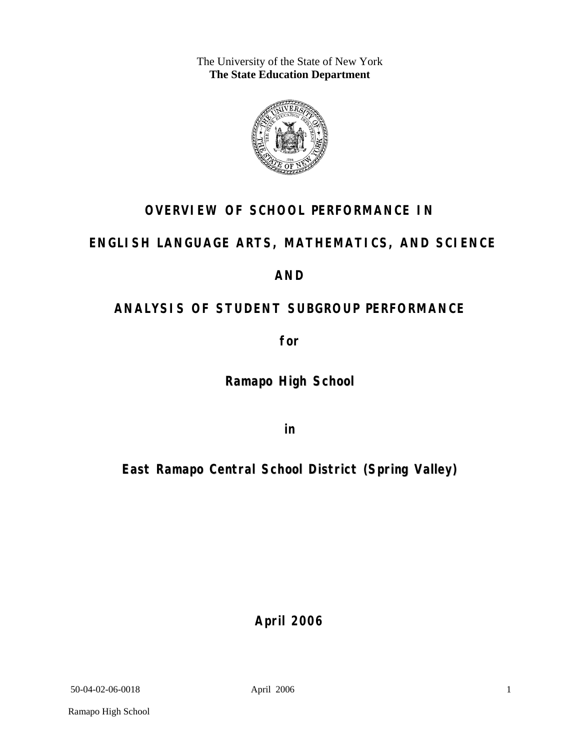The University of the State of New York **The State Education Department** 



# **OVERVIEW OF SCHOOL PERFORMANCE IN**

# **ENGLISH LANGUAGE ARTS, MATHEMATICS, AND SCIENCE**

## **AND**

# **ANALYSIS OF STUDENT SUBGROUP PERFORMANCE**

**for** 

**Ramapo High School**

**in** 

**East Ramapo Central School District (Spring Valley)**

**April 2006**

50-04-02-06-0018 April 2006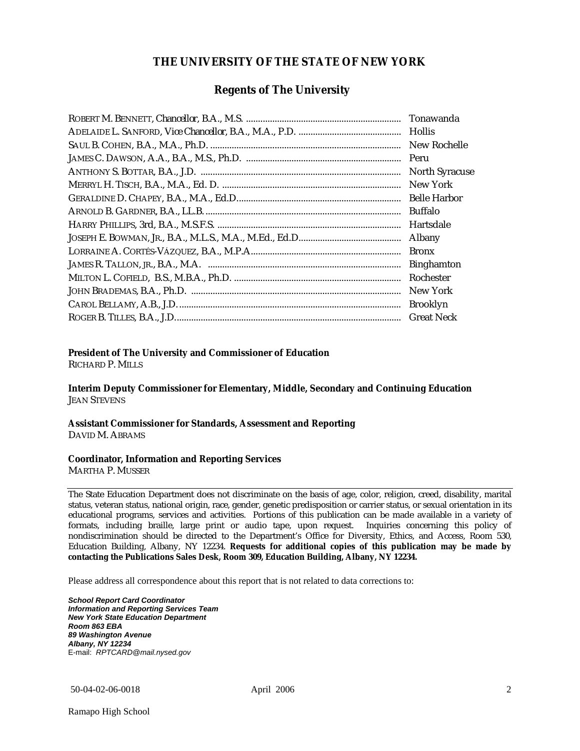#### **THE UNIVERSITY OF THE STATE OF NEW YORK**

#### **Regents of The University**

| Peru                  |
|-----------------------|
| <b>North Syracuse</b> |
| New York              |
|                       |
| Buffalo               |
| Hartsdale             |
| Albany                |
| <b>Bronx</b>          |
| <b>Binghamton</b>     |
| Rochester             |
| New York              |
| <b>Brooklyn</b>       |
| <b>Great Neck</b>     |

#### **President of The University and Commissioner of Education**

RICHARD P. MILLS

**Interim Deputy Commissioner for Elementary, Middle, Secondary and Continuing Education**  JEAN STEVENS

#### **Assistant Commissioner for Standards, Assessment and Reporting**  DAVID M. ABRAMS

#### **Coordinator, Information and Reporting Services**

MARTHA P. MUSSER

The State Education Department does not discriminate on the basis of age, color, religion, creed, disability, marital status, veteran status, national origin, race, gender, genetic predisposition or carrier status, or sexual orientation in its educational programs, services and activities. Portions of this publication can be made available in a variety of formats, including braille, large print or audio tape, upon request. Inquiries concerning this policy of nondiscrimination should be directed to the Department's Office for Diversity, Ethics, and Access, Room 530, Education Building, Albany, NY 12234. **Requests for additional copies of this publication may be made by contacting the Publications Sales Desk, Room 309, Education Building, Albany, NY 12234.** 

Please address all correspondence about this report that is not related to data corrections to:

*School Report Card Coordinator Information and Reporting Services Team New York State Education Department Room 863 EBA 89 Washington Avenue Albany, NY 12234*  E-mail: *RPTCARD@mail.nysed.gov*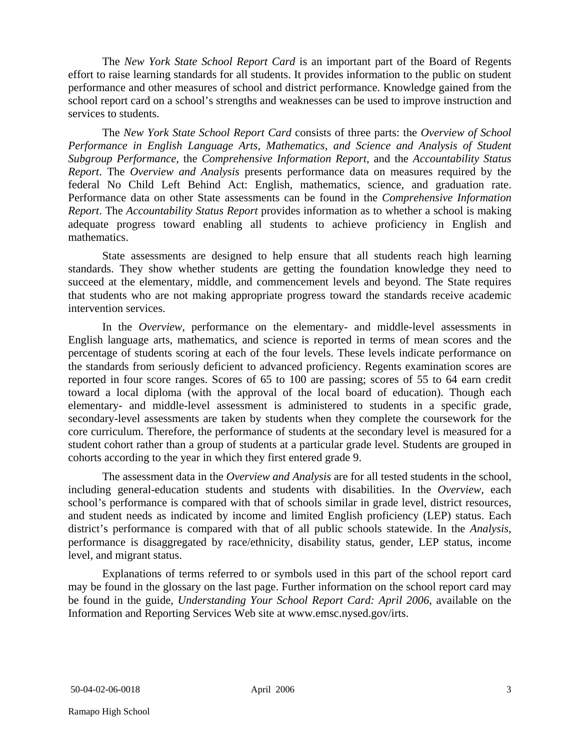The *New York State School Report Card* is an important part of the Board of Regents effort to raise learning standards for all students. It provides information to the public on student performance and other measures of school and district performance. Knowledge gained from the school report card on a school's strengths and weaknesses can be used to improve instruction and services to students.

The *New York State School Report Card* consists of three parts: the *Overview of School Performance in English Language Arts, Mathematics, and Science and Analysis of Student Subgroup Performance,* the *Comprehensive Information Report,* and the *Accountability Status Report*. The *Overview and Analysis* presents performance data on measures required by the federal No Child Left Behind Act: English, mathematics, science, and graduation rate. Performance data on other State assessments can be found in the *Comprehensive Information Report*. The *Accountability Status Report* provides information as to whether a school is making adequate progress toward enabling all students to achieve proficiency in English and mathematics.

State assessments are designed to help ensure that all students reach high learning standards. They show whether students are getting the foundation knowledge they need to succeed at the elementary, middle, and commencement levels and beyond. The State requires that students who are not making appropriate progress toward the standards receive academic intervention services.

In the *Overview*, performance on the elementary- and middle-level assessments in English language arts, mathematics, and science is reported in terms of mean scores and the percentage of students scoring at each of the four levels. These levels indicate performance on the standards from seriously deficient to advanced proficiency. Regents examination scores are reported in four score ranges. Scores of 65 to 100 are passing; scores of 55 to 64 earn credit toward a local diploma (with the approval of the local board of education). Though each elementary- and middle-level assessment is administered to students in a specific grade, secondary-level assessments are taken by students when they complete the coursework for the core curriculum. Therefore, the performance of students at the secondary level is measured for a student cohort rather than a group of students at a particular grade level. Students are grouped in cohorts according to the year in which they first entered grade 9.

The assessment data in the *Overview and Analysis* are for all tested students in the school, including general-education students and students with disabilities. In the *Overview*, each school's performance is compared with that of schools similar in grade level, district resources, and student needs as indicated by income and limited English proficiency (LEP) status. Each district's performance is compared with that of all public schools statewide. In the *Analysis*, performance is disaggregated by race/ethnicity, disability status, gender, LEP status, income level, and migrant status.

Explanations of terms referred to or symbols used in this part of the school report card may be found in the glossary on the last page. Further information on the school report card may be found in the guide, *Understanding Your School Report Card: April 2006*, available on the Information and Reporting Services Web site at www.emsc.nysed.gov/irts.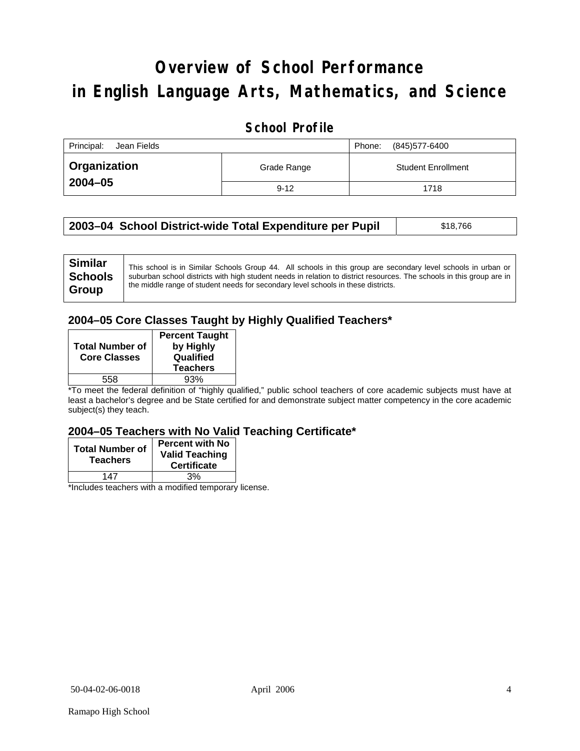# **Overview of School Performance in English Language Arts, Mathematics, and Science**

### **School Profile**

| Principal:<br>Jean Fields | (845) 577-6400<br>Phone: |                           |
|---------------------------|--------------------------|---------------------------|
| <b>Organization</b>       | Grade Range              | <b>Student Enrollment</b> |
| $2004 - 05$               | $9 - 12$                 | 1718                      |

| 2003–04 School District-wide Total Expenditure per Pupil | \$18,766 |
|----------------------------------------------------------|----------|
|----------------------------------------------------------|----------|

### **2004–05 Core Classes Taught by Highly Qualified Teachers\***

| <b>Total Number of</b><br><b>Core Classes</b> | <b>Percent Taught</b><br>by Highly<br>Qualified<br><b>Teachers</b> |
|-----------------------------------------------|--------------------------------------------------------------------|
| 558                                           | 93%                                                                |

\*To meet the federal definition of "highly qualified," public school teachers of core academic subjects must have at least a bachelor's degree and be State certified for and demonstrate subject matter competency in the core academic subject(s) they teach.

#### **2004–05 Teachers with No Valid Teaching Certificate\***

| <b>Total Number of</b><br><b>Teachers</b> | <b>Percent with No</b><br><b>Valid Teaching</b><br><b>Certificate</b> |
|-------------------------------------------|-----------------------------------------------------------------------|
| 147                                       | 3%                                                                    |
| $\mathbf{A}$<br>$\cdots$                  |                                                                       |

\*Includes teachers with a modified temporary license.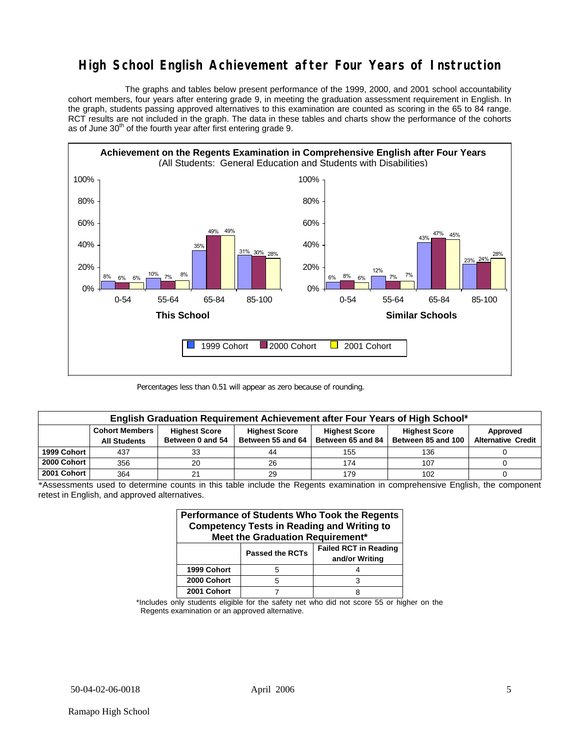### **High School English Achievement after Four Years of Instruction**

 The graphs and tables below present performance of the 1999, 2000, and 2001 school accountability cohort members, four years after entering grade 9, in meeting the graduation assessment requirement in English. In the graph, students passing approved alternatives to this examination are counted as scoring in the 65 to 84 range. RCT results are not included in the graph. The data in these tables and charts show the performance of the cohorts as of June 30<sup>th</sup> of the fourth year after first entering grade 9.



Percentages less than 0.51 will appear as zero because of rounding.

| English Graduation Requirement Achievement after Four Years of High School* |                                                                                                                                   |                  |                   |                   |                    |                           |  |  |  |
|-----------------------------------------------------------------------------|-----------------------------------------------------------------------------------------------------------------------------------|------------------|-------------------|-------------------|--------------------|---------------------------|--|--|--|
|                                                                             | <b>Cohort Members</b><br><b>Highest Score</b><br><b>Highest Score</b><br><b>Highest Score</b><br><b>Highest Score</b><br>Approved |                  |                   |                   |                    |                           |  |  |  |
|                                                                             | <b>All Students</b>                                                                                                               | Between 0 and 54 | Between 55 and 64 | Between 65 and 84 | Between 85 and 100 | <b>Alternative Credit</b> |  |  |  |
| 1999 Cohort                                                                 | 437                                                                                                                               | 33               | 44                | 155               | 136                |                           |  |  |  |
| 2000 Cohort                                                                 | 356                                                                                                                               | 20               | 26                | 174               | 107                |                           |  |  |  |
| 2001 Cohort                                                                 | 364                                                                                                                               |                  | 29                | 179               | 102                |                           |  |  |  |

\*Assessments used to determine counts in this table include the Regents examination in comprehensive English, the component retest in English, and approved alternatives.

| Performance of Students Who Took the Regents<br><b>Competency Tests in Reading and Writing to</b><br>Meet the Graduation Requirement* |   |  |  |  |  |  |  |
|---------------------------------------------------------------------------------------------------------------------------------------|---|--|--|--|--|--|--|
| <b>Failed RCT in Reading</b><br><b>Passed the RCTs</b><br>and/or Writing                                                              |   |  |  |  |  |  |  |
| 1999 Cohort                                                                                                                           | 5 |  |  |  |  |  |  |
| 2000 Cohort                                                                                                                           | 5 |  |  |  |  |  |  |
| 2001 Cohort                                                                                                                           |   |  |  |  |  |  |  |

\*Includes only students eligible for the safety net who did not score 55 or higher on the Regents examination or an approved alternative.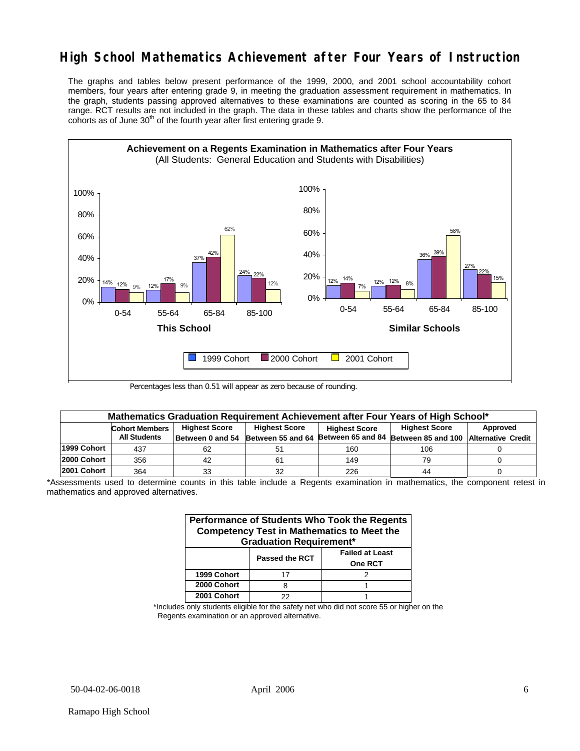### **High School Mathematics Achievement after Four Years of Instruction**

The graphs and tables below present performance of the 1999, 2000, and 2001 school accountability cohort members, four years after entering grade 9, in meeting the graduation assessment requirement in mathematics. In the graph, students passing approved alternatives to these examinations are counted as scoring in the 65 to 84 range. RCT results are not included in the graph. The data in these tables and charts show the performance of the cohorts as of June  $30<sup>th</sup>$  of the fourth year after first entering grade 9.



Percentages less than 0.51 will appear as zero because of rounding.

| Mathematics Graduation Requirement Achievement after Four Years of High School* |                                                                                                                                   |                  |                   |     |                                                         |  |  |  |  |
|---------------------------------------------------------------------------------|-----------------------------------------------------------------------------------------------------------------------------------|------------------|-------------------|-----|---------------------------------------------------------|--|--|--|--|
|                                                                                 | <b>Highest Score</b><br><b>Highest Score</b><br><b>Highest Score</b><br>Approved<br><b>Cohort Members</b><br><b>Highest Score</b> |                  |                   |     |                                                         |  |  |  |  |
|                                                                                 | <b>All Students</b>                                                                                                               | Between 0 and 54 | Between 55 and 64 |     | Between 65 and 84 Between 85 and 100 Alternative Credit |  |  |  |  |
| 1999 Cohort                                                                     | 437                                                                                                                               | 62               | 51                | 160 | 106                                                     |  |  |  |  |
| 2000 Cohort                                                                     | 356                                                                                                                               | 42               | 61                | 149 | 79                                                      |  |  |  |  |
| 2001 Cohort                                                                     | 364                                                                                                                               | 33               | 32                | 226 | 44                                                      |  |  |  |  |

<sup>\*</sup>Assessments used to determine counts in this table include a Regents examination in mathematics, the component retest in mathematics and approved alternatives.

| Performance of Students Who Took the Regents<br><b>Competency Test in Mathematics to Meet the</b><br><b>Graduation Requirement*</b> |    |  |  |  |  |  |  |
|-------------------------------------------------------------------------------------------------------------------------------------|----|--|--|--|--|--|--|
| <b>Failed at Least</b><br><b>Passed the RCT</b><br><b>One RCT</b>                                                                   |    |  |  |  |  |  |  |
| 1999 Cohort                                                                                                                         | 17 |  |  |  |  |  |  |
| 2000 Cohort                                                                                                                         | я  |  |  |  |  |  |  |
| 2001 Cohort                                                                                                                         | つつ |  |  |  |  |  |  |

\*Includes only students eligible for the safety net who did not score 55 or higher on the Regents examination or an approved alternative.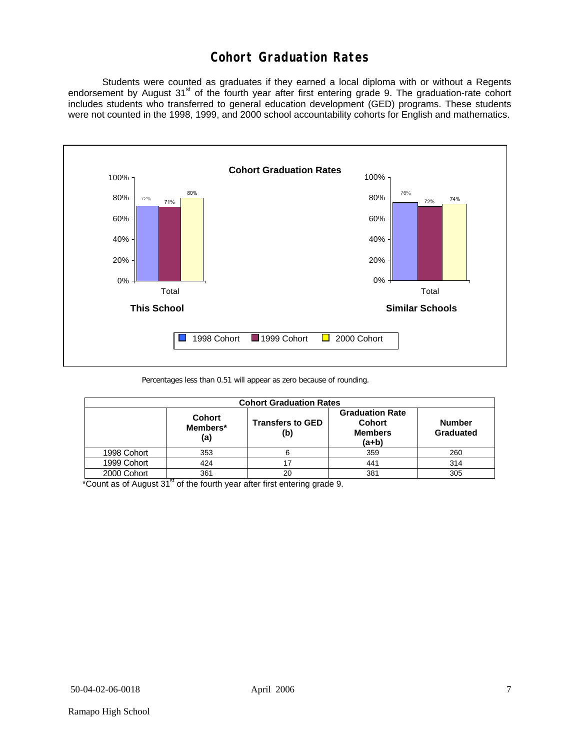### **Cohort Graduation Rates**

 Students were counted as graduates if they earned a local diploma with or without a Regents endorsement by August 31<sup>st</sup> of the fourth year after first entering grade 9. The graduation-rate cohort includes students who transferred to general education development (GED) programs. These students were not counted in the 1998, 1999, and 2000 school accountability cohorts for English and mathematics.



Percentages less than 0.51 will appear as zero because of rounding.

| <b>Cohort Graduation Rates</b> |                                                                    |    |                                                                    |                            |  |  |  |
|--------------------------------|--------------------------------------------------------------------|----|--------------------------------------------------------------------|----------------------------|--|--|--|
|                                | <b>Cohort</b><br><b>Transfers to GED</b><br>Members*<br>(b)<br>(a) |    | <b>Graduation Rate</b><br><b>Cohort</b><br><b>Members</b><br>(a+b) | <b>Number</b><br>Graduated |  |  |  |
| 1998 Cohort                    | 353                                                                |    | 359                                                                | 260                        |  |  |  |
| 1999 Cohort                    | 424                                                                |    | 441                                                                | 314                        |  |  |  |
| 2000 Cohort                    | 361                                                                | 20 | 381                                                                | 305                        |  |  |  |

\*Count as of August  $31<sup>st</sup>$  of the fourth year after first entering grade 9.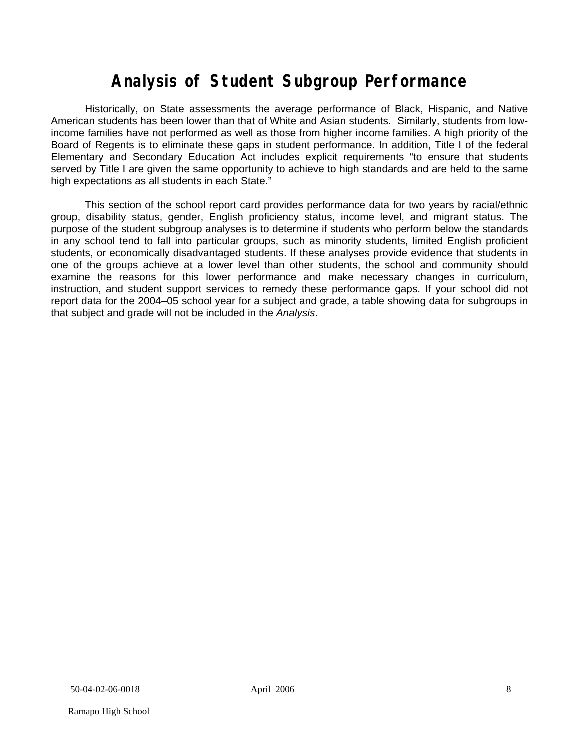# **Analysis of Student Subgroup Performance**

Historically, on State assessments the average performance of Black, Hispanic, and Native American students has been lower than that of White and Asian students. Similarly, students from lowincome families have not performed as well as those from higher income families. A high priority of the Board of Regents is to eliminate these gaps in student performance. In addition, Title I of the federal Elementary and Secondary Education Act includes explicit requirements "to ensure that students served by Title I are given the same opportunity to achieve to high standards and are held to the same high expectations as all students in each State."

This section of the school report card provides performance data for two years by racial/ethnic group, disability status, gender, English proficiency status, income level, and migrant status. The purpose of the student subgroup analyses is to determine if students who perform below the standards in any school tend to fall into particular groups, such as minority students, limited English proficient students, or economically disadvantaged students. If these analyses provide evidence that students in one of the groups achieve at a lower level than other students, the school and community should examine the reasons for this lower performance and make necessary changes in curriculum, instruction, and student support services to remedy these performance gaps. If your school did not report data for the 2004–05 school year for a subject and grade, a table showing data for subgroups in that subject and grade will not be included in the *Analysis*.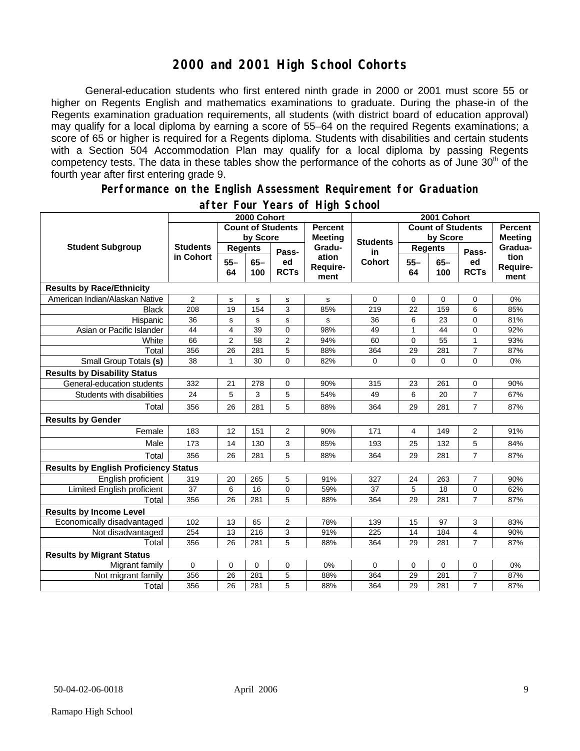### **2000 and 2001 High School Cohorts**

General-education students who first entered ninth grade in 2000 or 2001 must score 55 or higher on Regents English and mathematics examinations to graduate. During the phase-in of the Regents examination graduation requirements, all students (with district board of education approval) may qualify for a local diploma by earning a score of 55–64 on the required Regents examinations; a score of 65 or higher is required for a Regents diploma. Students with disabilities and certain students with a Section 504 Accommodation Plan may qualify for a local diploma by passing Regents competency tests. The data in these tables show the performance of the cohorts as of June  $30<sup>th</sup>$  of the fourth year after first entering grade 9.

#### **Performance on the English Assessment Requirement for Graduation**

|                                              | 2000 Cohort     |                            |               |                   | 2001 Cohort               |                |                         |              |                   |                          |
|----------------------------------------------|-----------------|----------------------------|---------------|-------------------|---------------------------|----------------|-------------------------|--------------|-------------------|--------------------------|
|                                              |                 | <b>Count of Students</b>   |               | <b>Percent</b>    | <b>Count of Students</b>  |                |                         |              | <b>Percent</b>    |                          |
|                                              |                 | by Score<br><b>Meeting</b> |               | <b>Students</b>   | by Score                  |                | <b>Meeting</b>          |              |                   |                          |
| <b>Student Subgroup</b>                      | <b>Students</b> | <b>Regents</b>             | Pass-         | Gradu-            | in                        | <b>Regents</b> |                         | Pass-        | Gradua-           |                          |
|                                              | in Cohort       | $55 -$<br>64               | $65 -$<br>100 | ed<br><b>RCTs</b> | ation<br>Require-<br>ment | <b>Cohort</b>  | $55 -$<br>64            | $65-$<br>100 | ed<br><b>RCTs</b> | tion<br>Require-<br>ment |
| <b>Results by Race/Ethnicity</b>             |                 |                            |               |                   |                           |                |                         |              |                   |                          |
| American Indian/Alaskan Native               | $\overline{2}$  | s                          | s             | s                 | s                         | $\Omega$       | $\mathbf 0$             | $\mathbf 0$  | 0                 | 0%                       |
| <b>Black</b>                                 | 208             | 19                         | 154           | 3                 | 85%                       | 219            | 22                      | 159          | 6                 | 85%                      |
| Hispanic                                     | 36              | s                          | $\mathbf s$   | s                 | s                         | 36             | 6                       | 23           | 0                 | 81%                      |
| Asian or Pacific Islander                    | 44              | $\overline{4}$             | 39            | $\overline{0}$    | 98%                       | 49             | $\mathbf{1}$            | 44           | 0                 | 92%                      |
| White                                        | 66              | $\overline{2}$             | 58            | $\overline{2}$    | 94%                       | 60             | 0                       | 55           | 1                 | 93%                      |
| Total                                        | 356             | 26                         | 281           | $\overline{5}$    | 88%                       | 364            | 29                      | 281          | $\overline{7}$    | 87%                      |
| Small Group Totals (s)                       | 38              | 1                          | 30            | $\overline{0}$    | 82%                       | $\Omega$       | $\Omega$                | $\Omega$     | 0                 | 0%                       |
| <b>Results by Disability Status</b>          |                 |                            |               |                   |                           |                |                         |              |                   |                          |
| General-education students                   | 332             | 21                         | 278           | 0                 | 90%                       | 315            | 23                      | 261          | 0                 | 90%                      |
| Students with disabilities                   | 24              | 5                          | 3             | 5                 | 54%                       | 49             | 6                       | 20           | $\overline{7}$    | 67%                      |
| Total                                        | 356             | 26                         | 281           | 5                 | 88%                       | 364            | 29                      | 281          | $\overline{7}$    | 87%                      |
| <b>Results by Gender</b>                     |                 |                            |               |                   |                           |                |                         |              |                   |                          |
| Female                                       | 183             | 12                         | 151           | $\overline{2}$    | 90%                       | 171            | $\overline{\mathbf{4}}$ | 149          | $\overline{2}$    | 91%                      |
| Male                                         | 173             | 14                         | 130           | 3                 | 85%                       | 193            | 25                      | 132          | 5                 | 84%                      |
| Total                                        | 356             | 26                         | 281           | 5                 | 88%                       | 364            | 29                      | 281          | $\overline{7}$    | 87%                      |
| <b>Results by English Proficiency Status</b> |                 |                            |               |                   |                           |                |                         |              |                   |                          |
| English proficient                           | 319             | 20                         | 265           | 5                 | 91%                       | 327            | 24                      | 263          | 7                 | 90%                      |
| Limited English proficient                   | 37              | 6                          | 16            | 0                 | 59%                       | 37             | 5                       | 18           | 0                 | 62%                      |
| Total                                        | 356             | 26                         | 281           | 5                 | 88%                       | 364            | 29                      | 281          | $\overline{7}$    | 87%                      |
| <b>Results by Income Level</b>               |                 |                            |               |                   |                           |                |                         |              |                   |                          |
| Economically disadvantaged                   | 102             | 13                         | 65            | $\overline{2}$    | 78%                       | 139            | 15                      | 97           | 3                 | 83%                      |
| Not disadvantaged                            | 254             | 13                         | 216           | 3                 | 91%                       | 225            | 14                      | 184          | 4                 | 90%                      |
| Total                                        | 356             | 26                         | 281           | 5                 | 88%                       | 364            | 29                      | 281          | $\overline{7}$    | 87%                      |
| <b>Results by Migrant Status</b>             |                 |                            |               |                   |                           |                |                         |              |                   |                          |
| Migrant family                               | 0               | $\mathbf 0$                | $\mathbf 0$   | 0                 | 0%                        | $\Omega$       | 0                       | $\mathbf 0$  | 0                 | 0%                       |
| Not migrant family                           | 356             | 26                         | 281           | 5                 | 88%                       | 364            | 29                      | 281          | 7                 | 87%                      |
| Total                                        | 356             | 26                         | 281           | 5                 | 88%                       | 364            | 29                      | 281          | $\overline{7}$    | 87%                      |

#### **after Four Years of High School**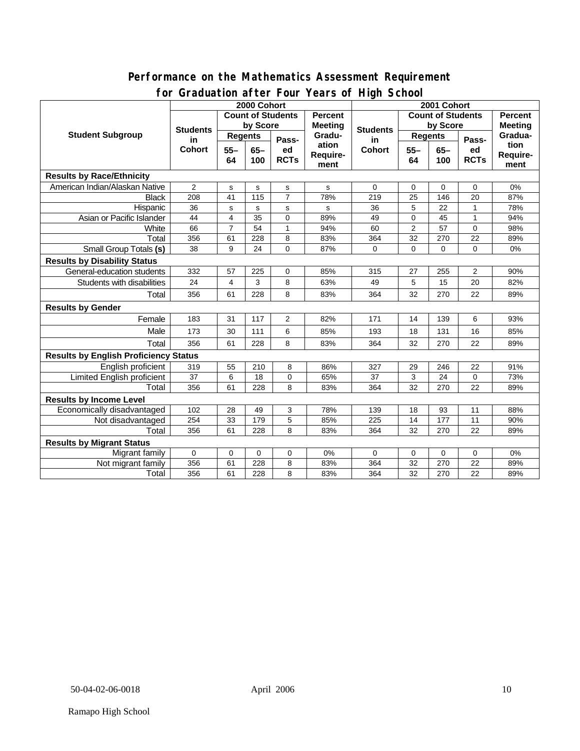#### **Performance on the Mathematics Assessment Requirement for Graduation after Four Years of High School**

|                                              | $\frac{1}{2}$ . $\frac{1}{2}$ . $\frac{1}{2}$ . $\frac{1}{2}$ . $\frac{1}{2}$ . $\frac{1}{2}$ . $\frac{1}{2}$ . $\frac{1}{2}$ . $\frac{1}{2}$<br>2000 Cohort |                                            |             |                |                          | 2001 Cohort                            |                |                |                |          |
|----------------------------------------------|--------------------------------------------------------------------------------------------------------------------------------------------------------------|--------------------------------------------|-------------|----------------|--------------------------|----------------------------------------|----------------|----------------|----------------|----------|
| <b>Student Subgroup</b>                      |                                                                                                                                                              | <b>Count of Students</b><br><b>Percent</b> |             |                | <b>Count of Students</b> |                                        |                | <b>Percent</b> |                |          |
|                                              | <b>Students</b><br>in<br><b>Cohort</b>                                                                                                                       | by Score                                   |             |                | <b>Meeting</b>           |                                        | by Score       |                | <b>Meeting</b> |          |
|                                              |                                                                                                                                                              | <b>Regents</b>                             |             | Pass-          | Gradu-<br>ation          | <b>Students</b><br>in<br><b>Cohort</b> | <b>Regents</b> |                | Pass-          | Gradua-  |
|                                              |                                                                                                                                                              | $55 -$<br>$65 -$                           | ed          | $55 -$         |                          |                                        | $65-$          | ed             | tion           |          |
|                                              |                                                                                                                                                              | 64                                         | 100         | <b>RCTs</b>    | Require-                 |                                        | 64             | 100            | <b>RCTs</b>    | Require- |
|                                              |                                                                                                                                                              |                                            |             |                | ment                     |                                        |                |                |                | ment     |
| <b>Results by Race/Ethnicity</b>             |                                                                                                                                                              |                                            |             |                |                          |                                        |                |                |                |          |
| American Indian/Alaskan Native               | $\overline{2}$                                                                                                                                               | s                                          | s           | $\mathbf s$    | s                        | $\Omega$                               | $\Omega$       | $\Omega$       | $\Omega$       | 0%       |
| <b>Black</b>                                 | 208                                                                                                                                                          | 41                                         | 115         | $\overline{7}$ | 78%                      | 219                                    | 25             | 146            | 20             | 87%      |
| Hispanic                                     | 36                                                                                                                                                           | s                                          | s           | s              | s                        | 36                                     | 5              | 22             | $\mathbf{1}$   | 78%      |
| Asian or Pacific Islander                    | 44                                                                                                                                                           | $\overline{4}$                             | 35          | 0              | 89%                      | 49                                     | 0              | 45             | $\mathbf{1}$   | 94%      |
| White                                        | 66                                                                                                                                                           | $\overline{7}$                             | 54          | $\mathbf{1}$   | 94%                      | 60                                     | $\overline{2}$ | 57             | 0              | 98%      |
| Total                                        | 356                                                                                                                                                          | 61                                         | 228         | 8              | 83%                      | 364                                    | 32             | 270            | 22             | 89%      |
| <b>Small Group Totals (s)</b>                | 38                                                                                                                                                           | 9                                          | 24          | 0              | 87%                      | 0                                      | 0              | $\mathbf 0$    | 0              | 0%       |
| <b>Results by Disability Status</b>          |                                                                                                                                                              |                                            |             |                |                          |                                        |                |                |                |          |
| General-education students                   | 332                                                                                                                                                          | 57                                         | 225         | 0              | 85%                      | 315                                    | 27             | 255            | 2              | 90%      |
| Students with disabilities                   | 24                                                                                                                                                           | 4                                          | 3           | 8              | 63%                      | 49                                     | 5              | 15             | 20             | 82%      |
| Total                                        | 356                                                                                                                                                          | 61                                         | 228         | 8              | 83%                      | 364                                    | 32             | 270            | 22             | 89%      |
| <b>Results by Gender</b>                     |                                                                                                                                                              |                                            |             |                |                          |                                        |                |                |                |          |
| Female                                       | 183                                                                                                                                                          | 31                                         | 117         | $\overline{2}$ | 82%                      | 171                                    | 14             | 139            | 6              | 93%      |
| Male                                         | 173                                                                                                                                                          | 30                                         | 111         | 6              | 85%                      | 193                                    | 18             | 131            | 16             | 85%      |
| Total                                        | 356                                                                                                                                                          | 61                                         | 228         | 8              | 83%                      | 364                                    | 32             | 270            | 22             | 89%      |
| <b>Results by English Proficiency Status</b> |                                                                                                                                                              |                                            |             |                |                          |                                        |                |                |                |          |
| English proficient                           | 319                                                                                                                                                          | 55                                         | 210         | 8              | 86%                      | 327                                    | 29             | 246            | 22             | 91%      |
| Limited English proficient                   | 37                                                                                                                                                           | 6                                          | 18          | 0              | 65%                      | 37                                     | 3              | 24             | 0              | 73%      |
| Total                                        | 356                                                                                                                                                          | 61                                         | 228         | 8              | 83%                      | 364                                    | 32             | 270            | 22             | 89%      |
| <b>Results by Income Level</b>               |                                                                                                                                                              |                                            |             |                |                          |                                        |                |                |                |          |
| Economically disadvantaged                   | 102                                                                                                                                                          | 28                                         | 49          | 3              | 78%                      | 139                                    | 18             | 93             | 11             | 88%      |
| Not disadvantaged                            | 254                                                                                                                                                          | 33                                         | 179         | 5              | 85%                      | 225                                    | 14             | 177            | 11             | 90%      |
| Total                                        | 356                                                                                                                                                          | 61                                         | 228         | 8              | 83%                      | 364                                    | 32             | 270            | 22             | 89%      |
| <b>Results by Migrant Status</b>             |                                                                                                                                                              |                                            |             |                |                          |                                        |                |                |                |          |
| Migrant family                               | 0                                                                                                                                                            | $\mathbf 0$                                | $\mathbf 0$ | 0              | 0%                       | 0                                      | $\mathbf 0$    | $\mathbf 0$    | 0              | 0%       |
| Not migrant family                           | 356                                                                                                                                                          | 61                                         | 228         | 8              | 83%                      | 364                                    | 32             | 270            | 22             | 89%      |
| Total                                        | 356                                                                                                                                                          | 61                                         | 228         | 8              | 83%                      | 364                                    | 32             | 270            | 22             | 89%      |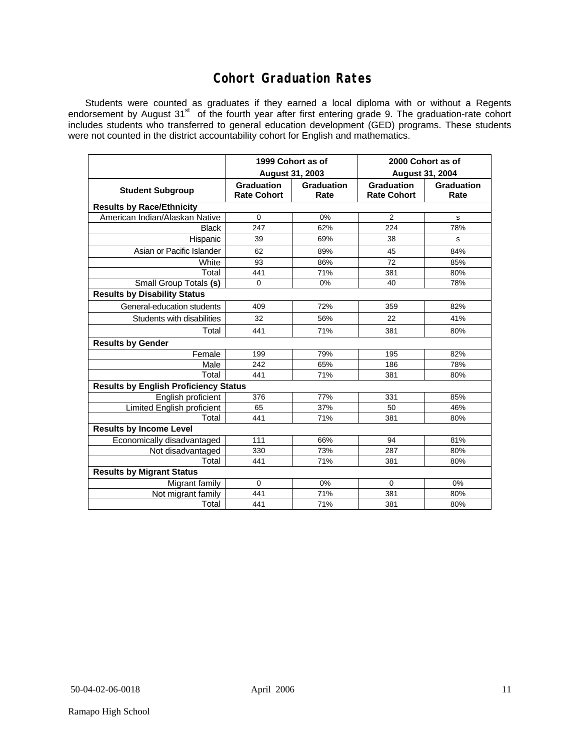### **Cohort Graduation Rates**

Students were counted as graduates if they earned a local diploma with or without a Regents endorsement by August 31<sup>st</sup> of the fourth year after first entering grade 9. The graduation-rate cohort includes students who transferred to general education development (GED) programs. These students were not counted in the district accountability cohort for English and mathematics.

|                                              | <b>August 31, 2003</b>           | 1999 Cohort as of  | 2000 Cohort as of<br><b>August 31, 2004</b> |                           |  |  |  |  |  |  |
|----------------------------------------------|----------------------------------|--------------------|---------------------------------------------|---------------------------|--|--|--|--|--|--|
| <b>Student Subgroup</b>                      | Graduation<br><b>Rate Cohort</b> | Graduation<br>Rate | Graduation<br><b>Rate Cohort</b>            | <b>Graduation</b><br>Rate |  |  |  |  |  |  |
| <b>Results by Race/Ethnicity</b>             |                                  |                    |                                             |                           |  |  |  |  |  |  |
| American Indian/Alaskan Native               | $\Omega$                         | 0%                 | $\overline{2}$                              | s                         |  |  |  |  |  |  |
| <b>Black</b>                                 | 247                              | 62%                | 224                                         | 78%                       |  |  |  |  |  |  |
| Hispanic                                     | 39                               | 69%                | 38                                          | s                         |  |  |  |  |  |  |
| Asian or Pacific Islander                    | 62                               | 89%                | 45                                          | 84%                       |  |  |  |  |  |  |
| White                                        | 93                               | 86%                | 72                                          | 85%                       |  |  |  |  |  |  |
| Total                                        | 441                              | 71%                | 381                                         | 80%                       |  |  |  |  |  |  |
| Small Group Totals (s)                       | $\Omega$                         | 0%                 | 40                                          | 78%                       |  |  |  |  |  |  |
| <b>Results by Disability Status</b>          |                                  |                    |                                             |                           |  |  |  |  |  |  |
| General-education students                   | 409                              | 72%                | 359                                         | 82%                       |  |  |  |  |  |  |
| Students with disabilities                   | 32                               | 56%                | 22                                          | 41%                       |  |  |  |  |  |  |
| Total                                        | 441                              | 71%                | 381                                         | 80%                       |  |  |  |  |  |  |
| <b>Results by Gender</b>                     |                                  |                    |                                             |                           |  |  |  |  |  |  |
| Female                                       | 199                              | 79%                | 195                                         | 82%                       |  |  |  |  |  |  |
| Male                                         | 242                              | 65%                | 186                                         | 78%                       |  |  |  |  |  |  |
| Total                                        | 441                              | 71%                | 381                                         | 80%                       |  |  |  |  |  |  |
| <b>Results by English Proficiency Status</b> |                                  |                    |                                             |                           |  |  |  |  |  |  |
| English proficient                           | 376                              | 77%                | 331                                         | 85%                       |  |  |  |  |  |  |
| Limited English proficient                   | 65                               | 37%                | 50                                          | 46%                       |  |  |  |  |  |  |
| Total                                        | 441                              | 71%                | 381                                         | 80%                       |  |  |  |  |  |  |
| <b>Results by Income Level</b>               |                                  |                    |                                             |                           |  |  |  |  |  |  |
| Economically disadvantaged                   | 111                              | 66%                | 94                                          | 81%                       |  |  |  |  |  |  |
| Not disadvantaged                            | 330                              | 73%                | 287                                         | 80%                       |  |  |  |  |  |  |
| Total                                        | 441                              | 71%                | 381                                         | 80%                       |  |  |  |  |  |  |
| <b>Results by Migrant Status</b>             |                                  |                    |                                             |                           |  |  |  |  |  |  |
| Migrant family                               | $\mathbf 0$                      | 0%                 | $\mathbf 0$                                 | 0%                        |  |  |  |  |  |  |
| Not migrant family                           | 441                              | 71%                | 381                                         | 80%                       |  |  |  |  |  |  |
| Total                                        | 441                              | 71%                | 381                                         | 80%                       |  |  |  |  |  |  |